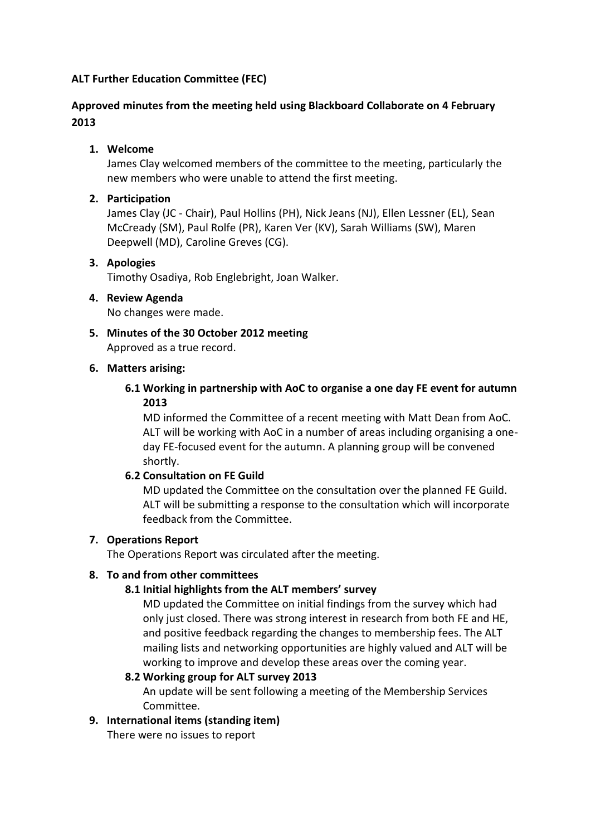## **ALT Further Education Committee (FEC)**

## **Approved minutes from the meeting held using Blackboard Collaborate on 4 February 2013**

## **1. Welcome**

James Clay welcomed members of the committee to the meeting, particularly the new members who were unable to attend the first meeting.

### **2. Participation**

James Clay (JC - Chair), Paul Hollins (PH), Nick Jeans (NJ), Ellen Lessner (EL), Sean McCready (SM), Paul Rolfe (PR), Karen Ver (KV), Sarah Williams (SW), Maren Deepwell (MD), Caroline Greves (CG).

#### **3. Apologies**

Timothy Osadiya, Rob Englebright, Joan Walker.

# **4. Review Agenda**

No changes were made.

**5. Minutes of the 30 October 2012 meeting** Approved as a true record.

### **6. Matters arising:**

## **6.1 Working in partnership with AoC to organise a one day FE event for autumn 2013**

MD informed the Committee of a recent meeting with Matt Dean from AoC. ALT will be working with AoC in a number of areas including organising a oneday FE-focused event for the autumn. A planning group will be convened shortly.

### **6.2 Consultation on FE Guild**

MD updated the Committee on the consultation over the planned FE Guild. ALT will be submitting a response to the consultation which will incorporate feedback from the Committee.

### **7. Operations Report**

The Operations Report was circulated after the meeting.

### **8. To and from other committees**

### **8.1 Initial highlights from the ALT members' survey**

MD updated the Committee on initial findings from the survey which had only just closed. There was strong interest in research from both FE and HE, and positive feedback regarding the changes to membership fees. The ALT mailing lists and networking opportunities are highly valued and ALT will be working to improve and develop these areas over the coming year.

#### **8.2 Working group for ALT survey 2013**

An update will be sent following a meeting of the Membership Services Committee.

### **9. International items (standing item)**

There were no issues to report